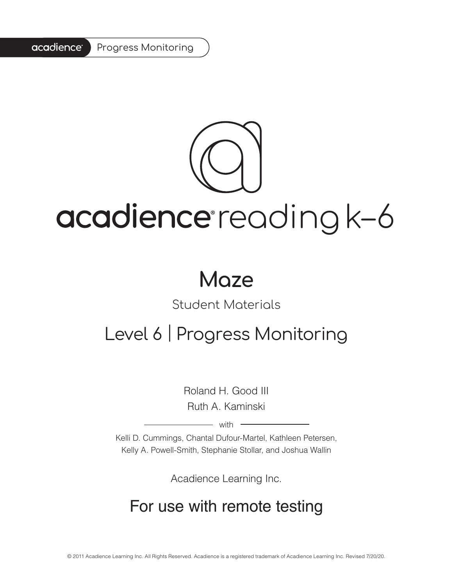#### acadience<sup>®</sup> Progress Monitoring

# acadience reading k-6

# **Maze**

# Student Materials

# Level 6 | Progress Monitoring

Roland H. Good III Ruth A. Kaminski

 $-$  with  $-$ 

Kelli D. Cummings, Chantal Dufour-Martel, Kathleen Petersen, Kelly A. Powell-Smith, Stephanie Stollar, and Joshua Wallin

Acadience Learning Inc.

# For use with remote testing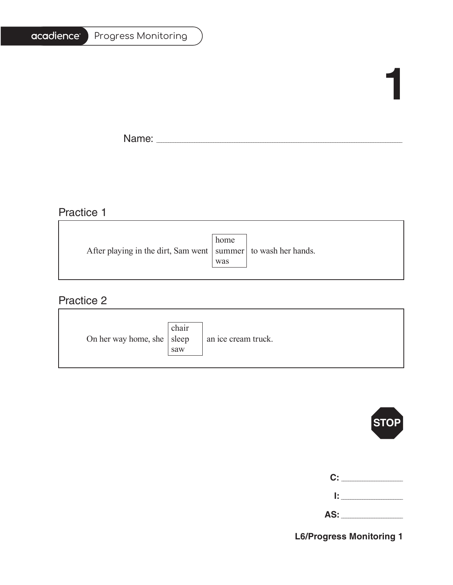| <b>Progress Monitoring</b> |
|----------------------------|
|                            |

# **1**

٦

h

Name: \_\_\_\_\_\_\_\_\_\_\_\_\_\_\_\_\_\_\_\_\_\_\_\_\_\_\_\_\_\_\_\_\_\_\_\_\_\_\_\_\_\_\_\_\_\_\_\_\_\_\_\_\_\_\_\_\_\_\_\_\_\_\_\_\_\_\_\_\_\_\_\_\_\_\_\_\_\_\_\_\_\_\_\_\_\_\_\_\_\_\_\_\_\_\_\_\_\_\_\_\_\_\_

# Practice 1

|                                                                   | home |  |
|-------------------------------------------------------------------|------|--|
| After playing in the dirt, Sam went   summer   to wash her hands. |      |  |
|                                                                   | was  |  |
|                                                                   |      |  |

<u> 1989 - Johann Stoff, deutscher Stoffen und der Stoffen und der Stoffen und der Stoffen und der Stoffen und der</u>

### Practice 2

| On her way home, she   sleep | chair<br>saw | an ice cream truck. |
|------------------------------|--------------|---------------------|
|------------------------------|--------------|---------------------|



| C: I |  |
|------|--|
|      |  |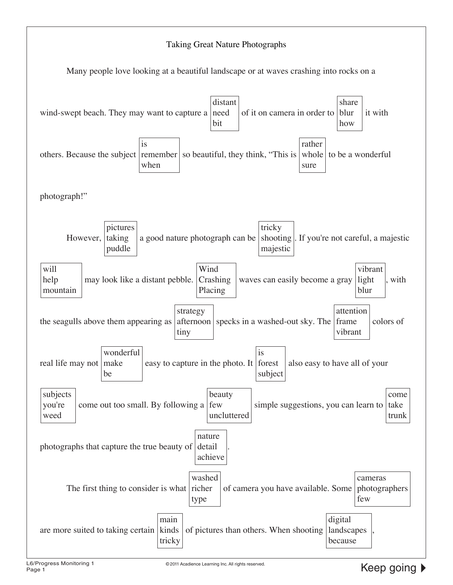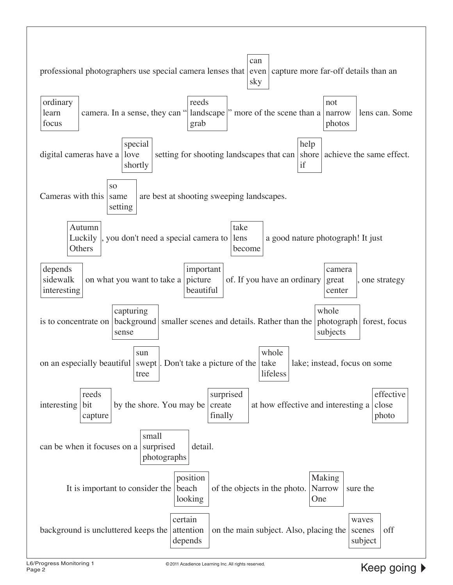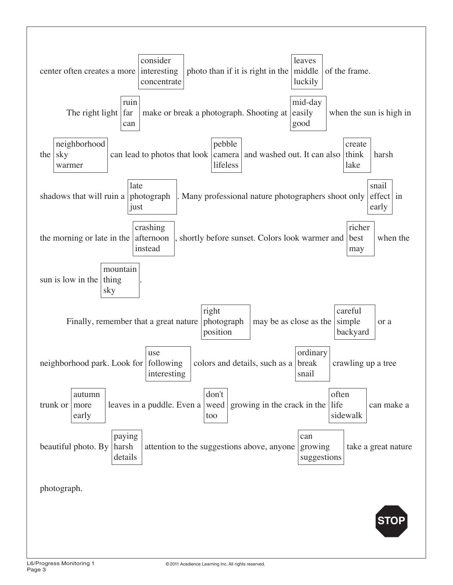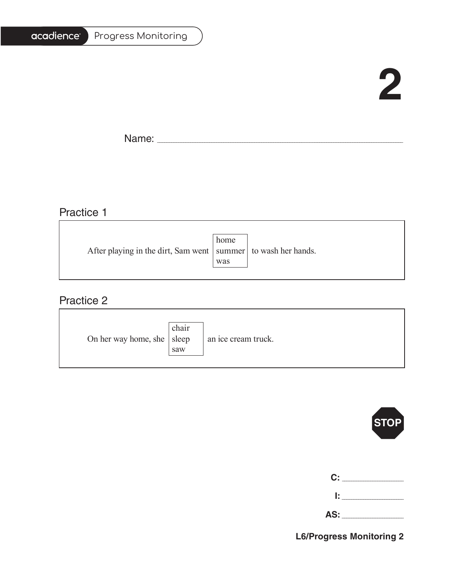| Progress Monitoring |
|---------------------|
|                     |

# **2**

Ē.

Name: \_\_\_\_\_\_\_\_\_\_\_\_\_\_\_\_\_\_\_\_\_\_\_\_\_\_\_\_\_\_\_\_\_\_\_\_\_\_\_\_\_\_\_\_\_\_\_\_\_\_\_\_\_\_\_\_\_\_\_\_\_\_\_\_\_\_\_\_\_\_\_\_\_\_\_\_\_\_\_\_\_\_\_\_\_\_\_\_\_\_\_\_\_\_\_\_\_\_\_\_\_\_\_

### Practice 1

|                                                                   | home |  |
|-------------------------------------------------------------------|------|--|
| After playing in the dirt, Sam went   summer   to wash her hands. |      |  |
|                                                                   | was  |  |
|                                                                   |      |  |

### Practice 2

| On her way home, she $ $ sleep | chair<br>saw | an ice cream truck. |
|--------------------------------|--------------|---------------------|
|--------------------------------|--------------|---------------------|



| C:   |  |
|------|--|
| l: I |  |
| AS:  |  |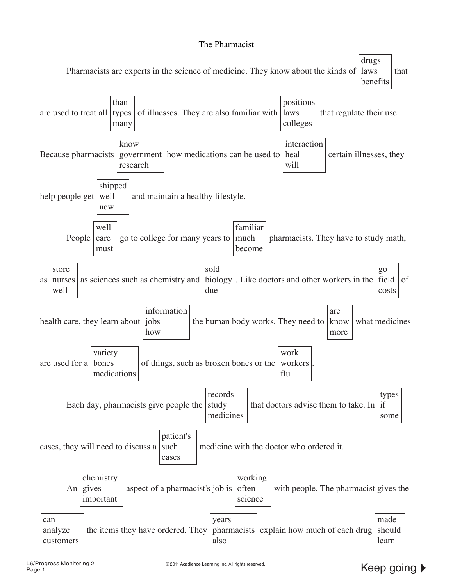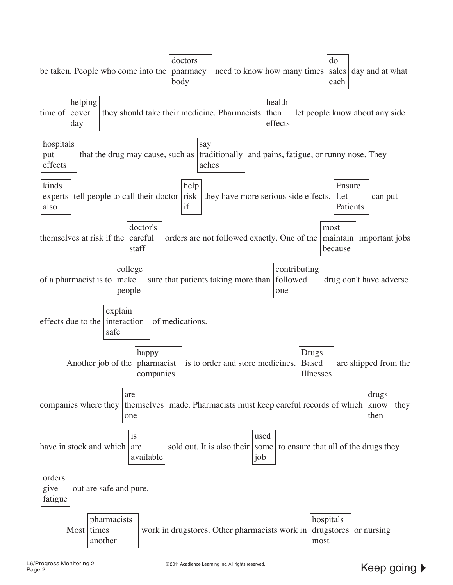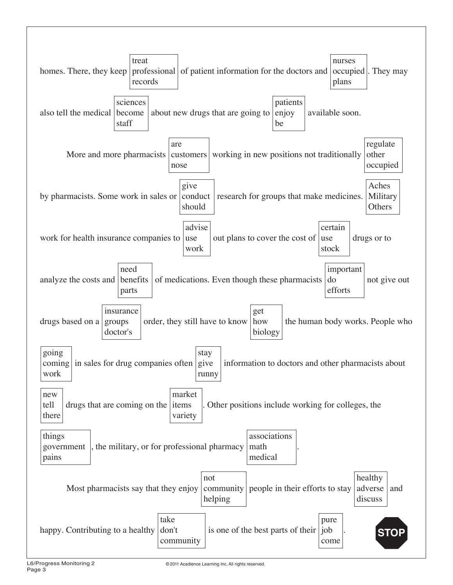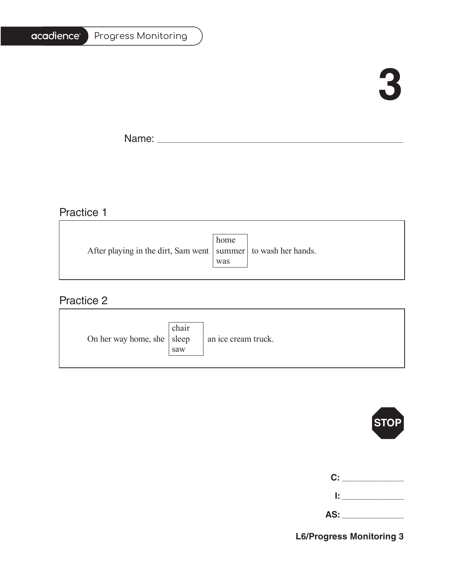| <b>Progress Monitoring</b> |
|----------------------------|
|                            |

# **3**

F.

Name: \_\_\_\_\_\_\_\_\_\_\_\_\_\_\_\_\_\_\_\_\_\_\_\_\_\_\_\_\_\_\_\_\_\_\_\_\_\_\_\_\_\_\_\_\_\_\_\_\_\_\_\_\_\_\_\_\_\_\_\_\_\_\_\_\_\_\_\_\_\_\_\_\_\_\_\_\_\_\_\_\_\_\_\_\_\_\_\_\_\_\_\_\_\_\_\_\_\_\_\_\_\_\_

### Practice 1

|                                                                   | home |  |
|-------------------------------------------------------------------|------|--|
| After playing in the dirt, Sam went   summer   to wash her hands. |      |  |
|                                                                   | was  |  |
|                                                                   |      |  |

### Practice 2

| On her way home, she $ $ sleep | chair<br>saw | an ice cream truck. |
|--------------------------------|--------------|---------------------|
|--------------------------------|--------------|---------------------|



| C: |  |
|----|--|
| Ŀ. |  |

| . .<br>. . |  |
|------------|--|
|            |  |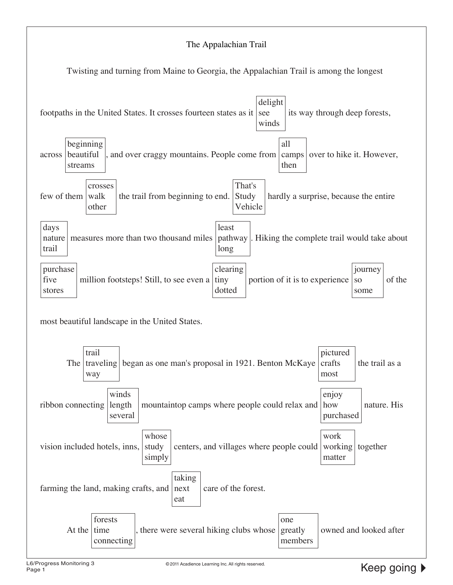#### The Appalachian Trail

Twisting and turning from Maine to Georgia, the Appalachian Trail is among the longest

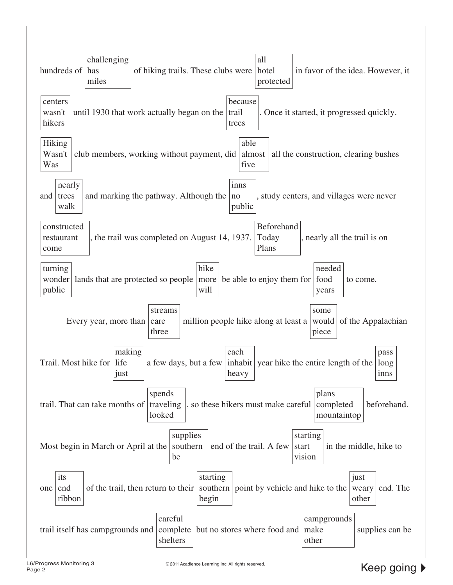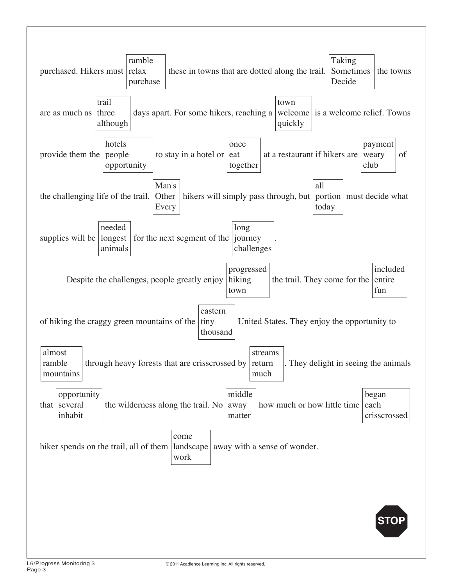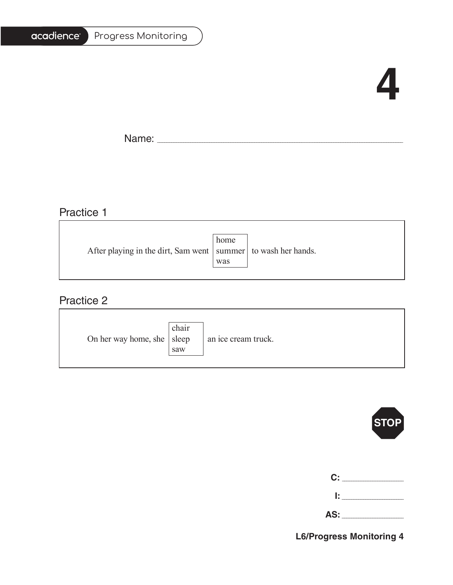| Progress Monitoring |  |
|---------------------|--|
|---------------------|--|

# **4**

Ē.

Name: \_\_\_\_\_\_\_\_\_\_\_\_\_\_\_\_\_\_\_\_\_\_\_\_\_\_\_\_\_\_\_\_\_\_\_\_\_\_\_\_\_\_\_\_\_\_\_\_\_\_\_\_\_\_\_\_\_\_\_\_\_\_\_\_\_\_\_\_\_\_\_\_\_\_\_\_\_\_\_\_\_\_\_\_\_\_\_\_\_\_\_\_\_\_\_\_\_\_\_\_\_\_\_

# Practice 1

|                                                                   | home |  |
|-------------------------------------------------------------------|------|--|
| After playing in the dirt, Sam went   summer   to wash her hands. |      |  |
|                                                                   | was  |  |
|                                                                   |      |  |

### Practice 2

| On her way home, she $ $ sleep | chair<br>saw | an ice cream truck. |
|--------------------------------|--------------|---------------------|
|--------------------------------|--------------|---------------------|



| C:    |  |
|-------|--|
| 1: 1  |  |
| AS: _ |  |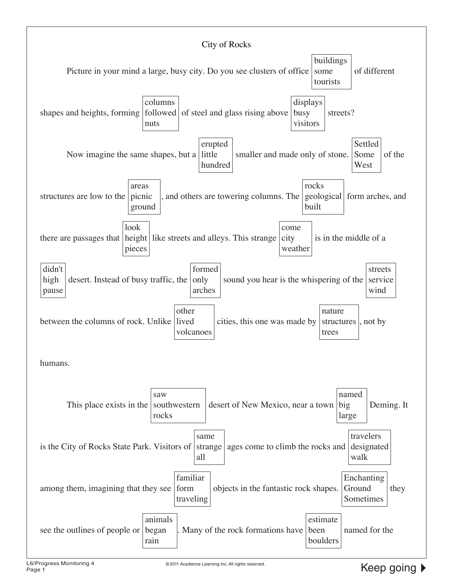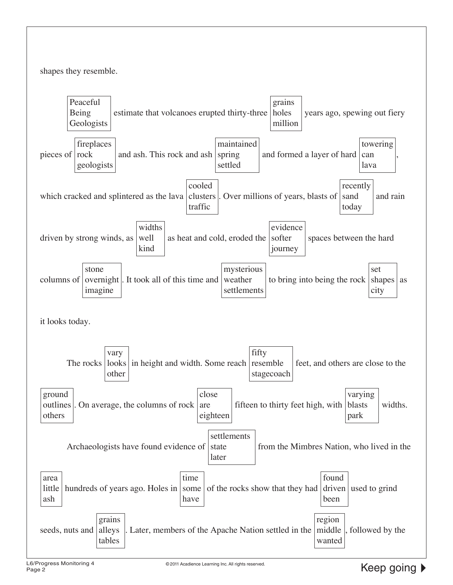shapes they resemble.

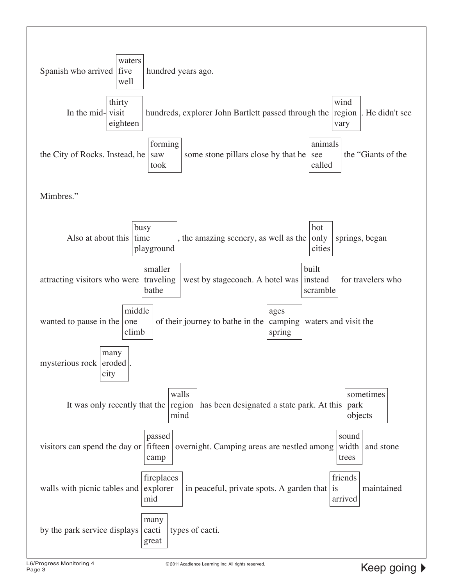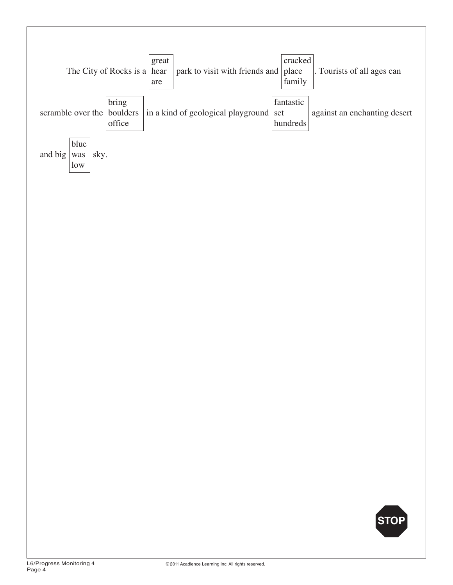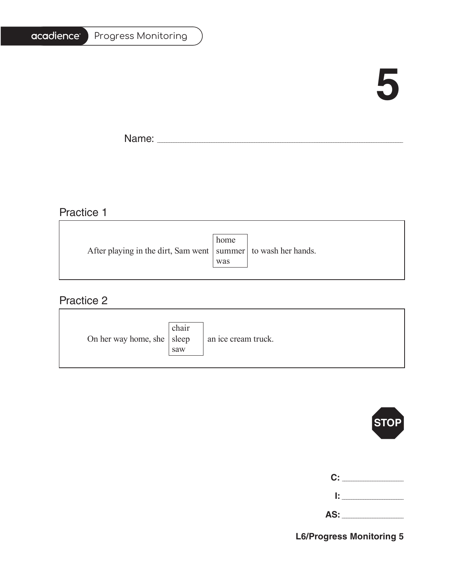| <b>Progress Monitoring</b> |
|----------------------------|
|                            |

# **5**

Ē.

Name: \_\_\_\_\_\_\_\_\_\_\_\_\_\_\_\_\_\_\_\_\_\_\_\_\_\_\_\_\_\_\_\_\_\_\_\_\_\_\_\_\_\_\_\_\_\_\_\_\_\_\_\_\_\_\_\_\_\_\_\_\_\_\_\_\_\_\_\_\_\_\_\_\_\_\_\_\_\_\_\_\_\_\_\_\_\_\_\_\_\_\_\_\_\_\_\_\_\_\_\_\_\_\_

# Practice 1

|                                                                   | home |  |
|-------------------------------------------------------------------|------|--|
| After playing in the dirt, Sam went   summer   to wash her hands. |      |  |
|                                                                   | was  |  |
|                                                                   |      |  |

# Practice 2

| On her way home, she $ $ sleep | chair<br>saw | an ice cream truck. |
|--------------------------------|--------------|---------------------|
|--------------------------------|--------------|---------------------|



| $\mathbf{C}$ : $\_\_$ |  |
|-----------------------|--|
|                       |  |
| AS:                   |  |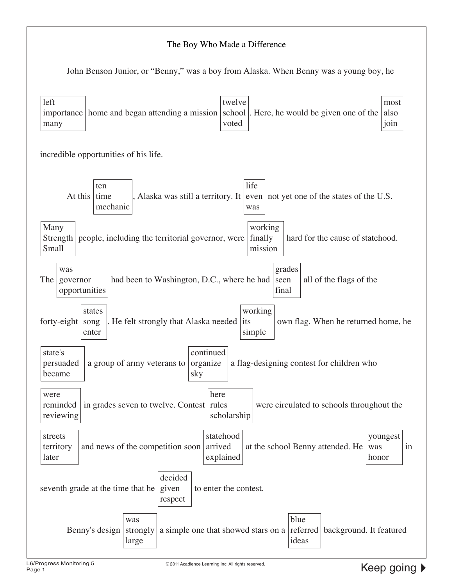#### The Boy Who Made a Difference

John Benson Junior, or "Benny," was a boy from Alaska. When Benny was a young boy, he

| left<br>twelve<br>most<br>importance home and began attending a mission<br>school<br>Here, he would be given one of the<br>also<br>voted<br>join<br>many                     |  |  |  |
|------------------------------------------------------------------------------------------------------------------------------------------------------------------------------|--|--|--|
| incredible opportunities of his life.                                                                                                                                        |  |  |  |
| life<br>ten<br>At this<br>, Alaska was still a territory. It even not yet one of the states of the U.S.<br>time<br>mechanic<br>was                                           |  |  |  |
| working<br>Many<br>finally<br>people, including the territorial governor, were<br>hard for the cause of statehood.<br>$\frac{5 + 1}{2}$<br>Small<br>mission                  |  |  |  |
| grades<br>was<br>The<br>had been to Washington, D.C., where he had<br>all of the flags of the<br>seen<br>governor<br>opportunities<br>final                                  |  |  |  |
| working<br>states<br>He felt strongly that Alaska needed its<br>own flag. When he returned home, he<br>forty-eight<br>song<br>simple<br>enter                                |  |  |  |
| continued<br>state's<br>a flag-designing contest for children who<br>a group of army veterans to<br>organize<br>persuaded<br>became<br>sky                                   |  |  |  |
| here<br>were<br>in grades seven to twelve. Contest rules<br>reminded<br>were circulated to schools throughout the<br>scholarship<br>reviewing                                |  |  |  |
| statehood<br>streets<br>youngest<br>arrived<br>and news of the competition soon<br>at the school Benny attended. He<br>in<br>territory<br>was<br>explained<br>later<br>honor |  |  |  |
| decided<br>seventh grade at the time that he<br>to enter the contest.<br>given<br>respect                                                                                    |  |  |  |
| blue<br>was<br>referred<br>background. It featured<br>Benny's design<br>strongly<br>a simple one that showed stars on a<br>ideas<br>large                                    |  |  |  |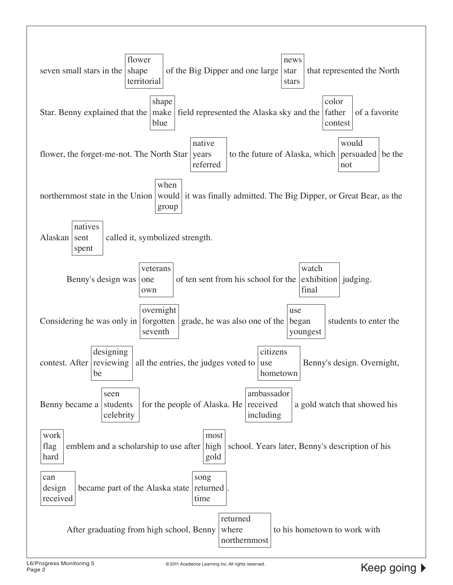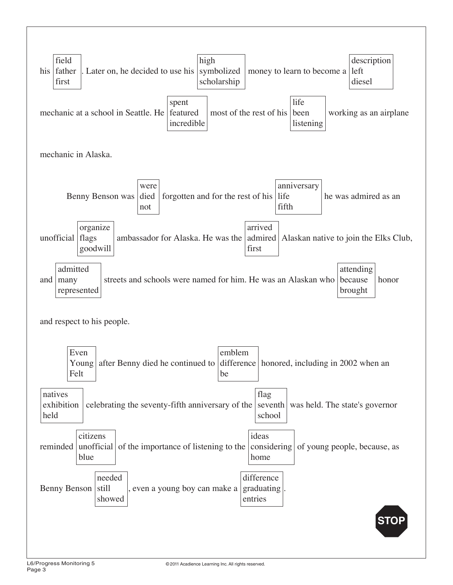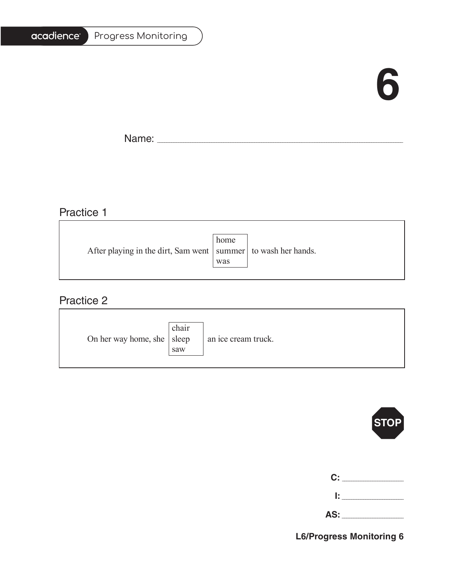# **6**

T.

Name: \_\_\_\_\_\_\_\_\_\_\_\_\_\_\_\_\_\_\_\_\_\_\_\_\_\_\_\_\_\_\_\_\_\_\_\_\_\_\_\_\_\_\_\_\_\_\_\_\_\_\_\_\_\_\_\_\_\_\_\_\_\_\_\_\_\_\_\_\_\_\_\_\_\_\_\_\_\_\_\_\_\_\_\_\_\_\_\_\_\_\_\_\_\_\_\_\_\_\_\_\_\_\_

<u> 1980 - Johann Barn, amerikansk politiker (</u>

# Practice 1

|                                                                   | home |  |
|-------------------------------------------------------------------|------|--|
| After playing in the dirt, Sam went   summer   to wash her hands. |      |  |
|                                                                   | was  |  |
|                                                                   |      |  |

<u> 1989 - Johann Stoff, deutscher Stoffen und der Stoffen und der Stoffen und der Stoffen und der Stoffen und der</u>

### Practice 2

| On her way home, she $ $ sleep | chair<br>saw | an ice cream truck. |
|--------------------------------|--------------|---------------------|
|--------------------------------|--------------|---------------------|



| $\mathbf{C}$ : $\_$ |  |
|---------------------|--|
| Ŀ.                  |  |
|                     |  |

| --- |
|-----|
|-----|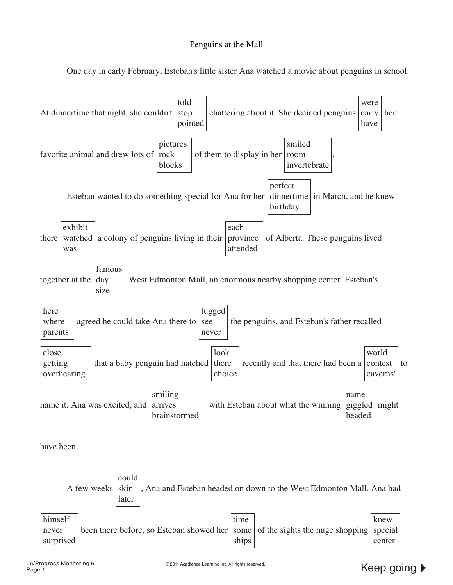#### Penguins at the Mall

One day in early February, Esteban's little sister Ana watched a movie about penguins in school.

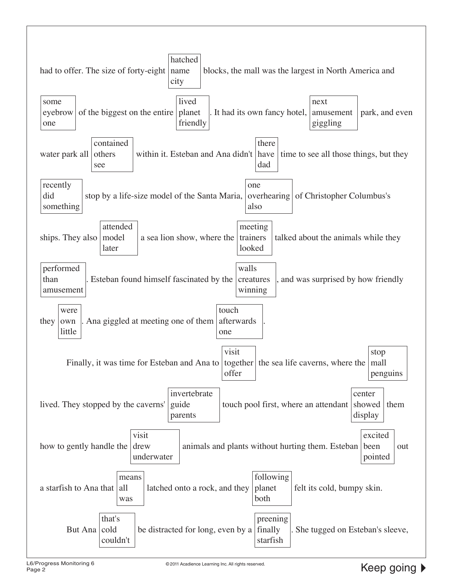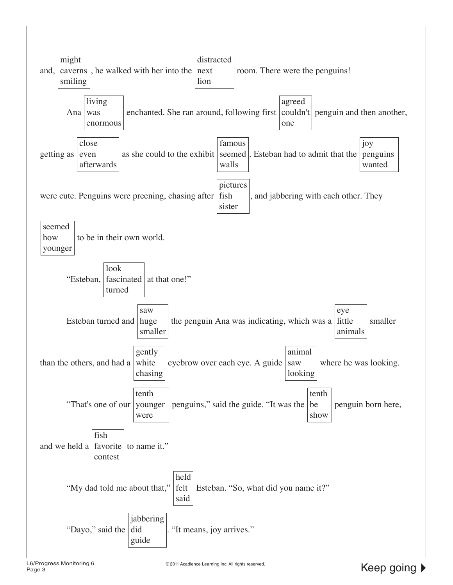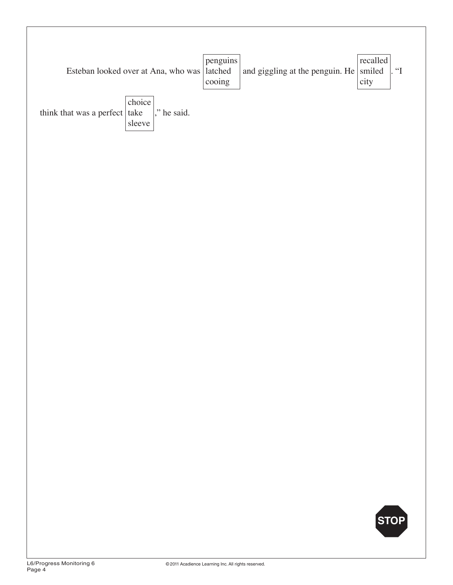|                                       | Esteban looked over at Ana, who was latched | penguins<br>cooing | and giggling at the penguin. He $ $ smiled | recalled<br>city | $\lfloor$ " |
|---------------------------------------|---------------------------------------------|--------------------|--------------------------------------------|------------------|-------------|
| think that was a perfect $\vert$ take | choice<br>$\vert$ , he said.<br>sleeve      |                    |                                            |                  |             |
|                                       |                                             |                    |                                            |                  |             |
|                                       |                                             |                    |                                            |                  |             |
|                                       |                                             |                    |                                            |                  |             |
|                                       |                                             |                    |                                            |                  |             |
|                                       |                                             |                    |                                            |                  |             |
|                                       |                                             |                    |                                            | STOP             |             |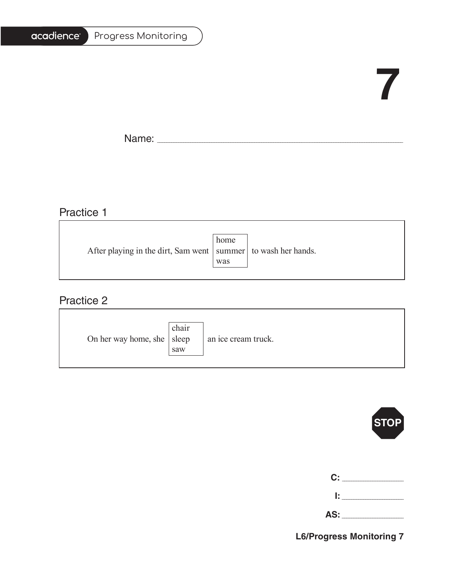#### Progress Monitoring

# **7**

Ē.

Name: \_\_\_\_\_\_\_\_\_\_\_\_\_\_\_\_\_\_\_\_\_\_\_\_\_\_\_\_\_\_\_\_\_\_\_\_\_\_\_\_\_\_\_\_\_\_\_\_\_\_\_\_\_\_\_\_\_\_\_\_\_\_\_\_\_\_\_\_\_\_\_\_\_\_\_\_\_\_\_\_\_\_\_\_\_\_\_\_\_\_\_\_\_\_\_\_\_\_\_\_\_\_\_

### Practice 1

|                                                                   | home |  |
|-------------------------------------------------------------------|------|--|
| After playing in the dirt, Sam went   summer   to wash her hands. |      |  |
|                                                                   | was  |  |
|                                                                   |      |  |

### Practice 2

| On her way home, she $ $ sleep | chair<br>saw | an ice cream truck. |
|--------------------------------|--------------|---------------------|
|--------------------------------|--------------|---------------------|



| C:   | the control of the con- |
|------|-------------------------|
| I: I |                         |

**AS:** \_\_\_\_\_\_\_\_\_\_\_\_\_\_\_\_\_\_\_\_\_\_\_\_\_\_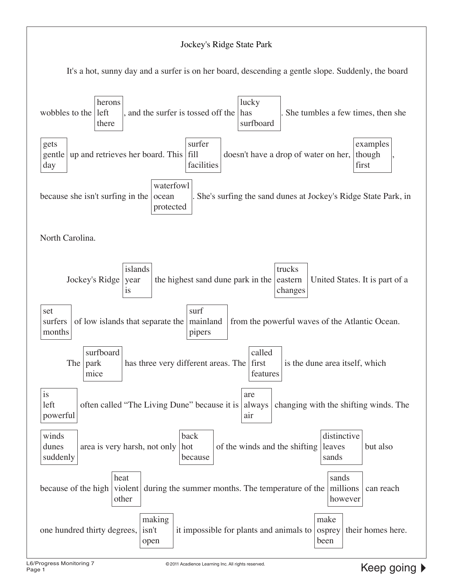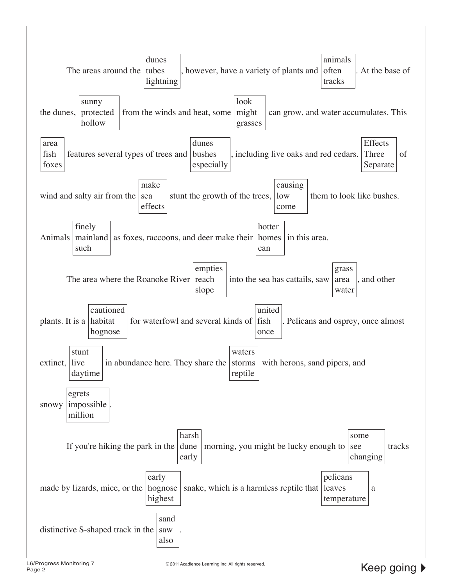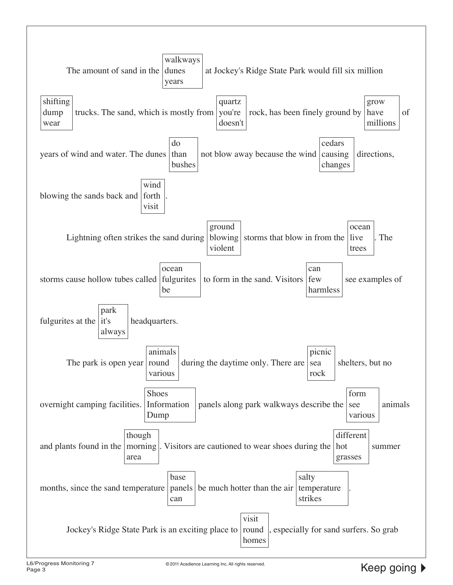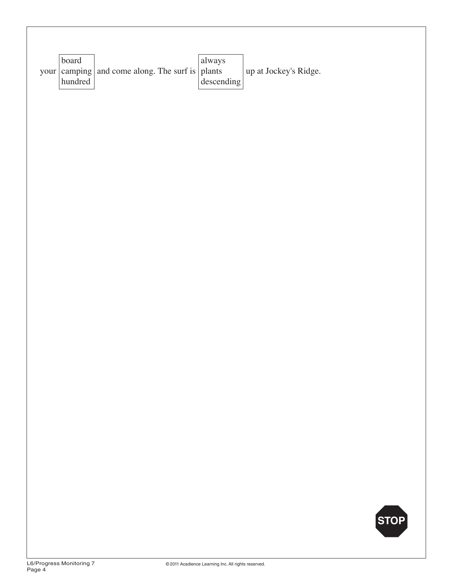| board<br>your camping<br>$\,$ hundred $\,$ | and come along. The surf is $\vert$ plants | always<br>$\frac{1}{2}$ descending | up at Jockey's Ridge. |      |
|--------------------------------------------|--------------------------------------------|------------------------------------|-----------------------|------|
|                                            |                                            |                                    |                       |      |
|                                            |                                            |                                    |                       |      |
|                                            |                                            |                                    |                       |      |
|                                            |                                            |                                    |                       |      |
|                                            |                                            |                                    |                       |      |
|                                            |                                            |                                    |                       |      |
|                                            |                                            |                                    |                       |      |
|                                            |                                            |                                    |                       | STOP |
|                                            |                                            |                                    |                       |      |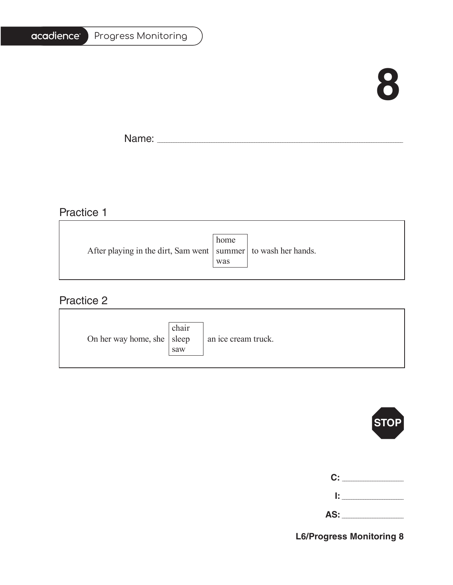# **8**

Ē.

Name: \_\_\_\_\_\_\_\_\_\_\_\_\_\_\_\_\_\_\_\_\_\_\_\_\_\_\_\_\_\_\_\_\_\_\_\_\_\_\_\_\_\_\_\_\_\_\_\_\_\_\_\_\_\_\_\_\_\_\_\_\_\_\_\_\_\_\_\_\_\_\_\_\_\_\_\_\_\_\_\_\_\_\_\_\_\_\_\_\_\_\_\_\_\_\_\_\_\_\_\_\_\_\_

<u> 1989 - Johann Barbara, martxa alemaniar arg</u>

### Practice 1

|                                                                   | home |  |
|-------------------------------------------------------------------|------|--|
| After playing in the dirt, Sam went   summer   to wash her hands. |      |  |
|                                                                   | was  |  |
|                                                                   |      |  |

# Practice 2

| On her way home, she $ $ sleep | chair<br>saw | an ice cream truck. |
|--------------------------------|--------------|---------------------|
|--------------------------------|--------------|---------------------|



|     | C: _______ |
|-----|------------|
| Ŀ.  |            |
| AS: |            |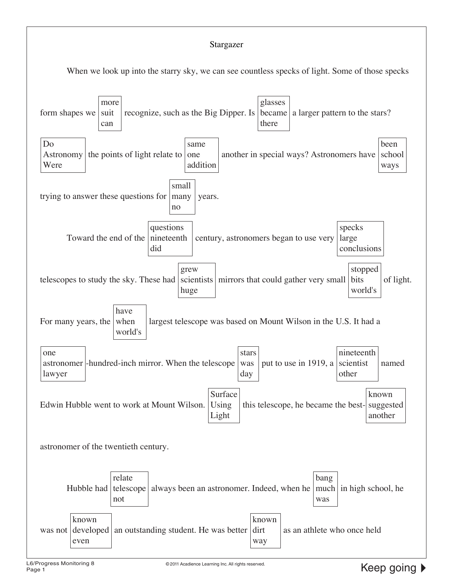#### Stargazer

When we look up into the starry sky, we can see countless specks of light. Some of those specks

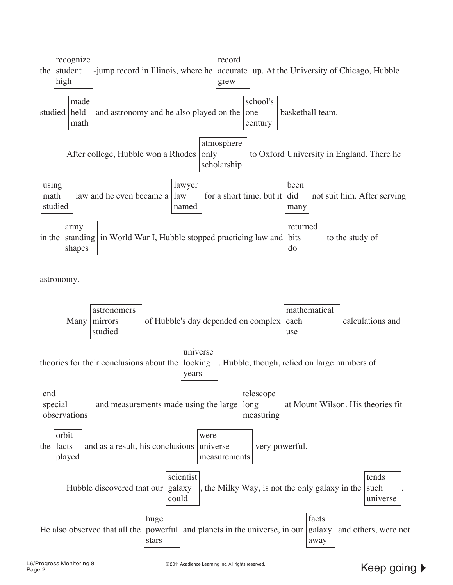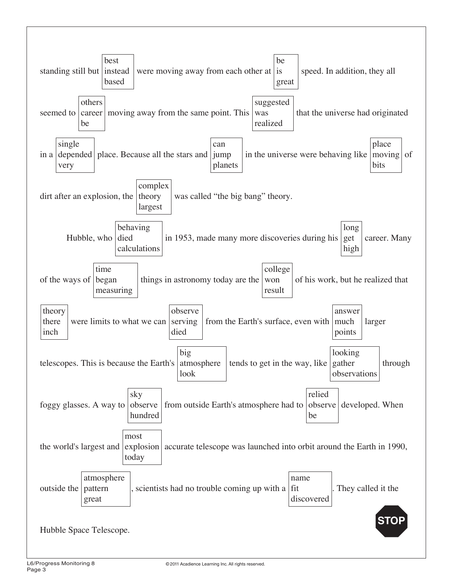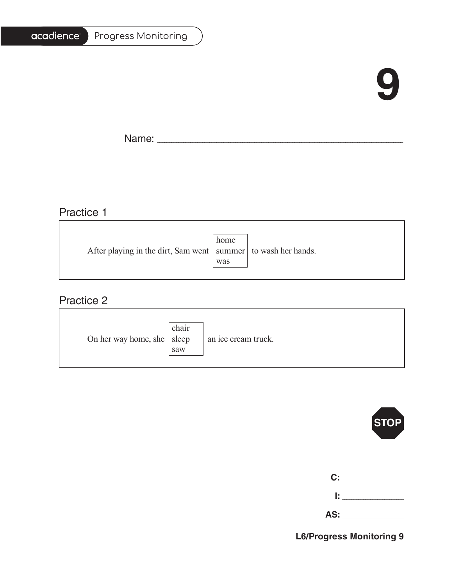# **9**

T.

Name: \_\_\_\_\_\_\_\_\_\_\_\_\_\_\_\_\_\_\_\_\_\_\_\_\_\_\_\_\_\_\_\_\_\_\_\_\_\_\_\_\_\_\_\_\_\_\_\_\_\_\_\_\_\_\_\_\_\_\_\_\_\_\_\_\_\_\_\_\_\_\_\_\_\_\_\_\_\_\_\_\_\_\_\_\_\_\_\_\_\_\_\_\_\_\_\_\_\_\_\_\_\_\_

## Practice 1

|                                                                   | home |  |
|-------------------------------------------------------------------|------|--|
| After playing in the dirt, Sam went   summer   to wash her hands. |      |  |
|                                                                   | was  |  |
|                                                                   |      |  |

<u> 1989 - Johann Barn, mars an t-Amerikaansk politiker (</u>

### Practice 2

| On her way home, she $ $ sleep | chair<br>saw | an ice cream truck. |
|--------------------------------|--------------|---------------------|
|--------------------------------|--------------|---------------------|



| C: |  |
|----|--|
| I. |  |

| -<br>$\overline{\phantom{a}}$ |  |
|-------------------------------|--|
|                               |  |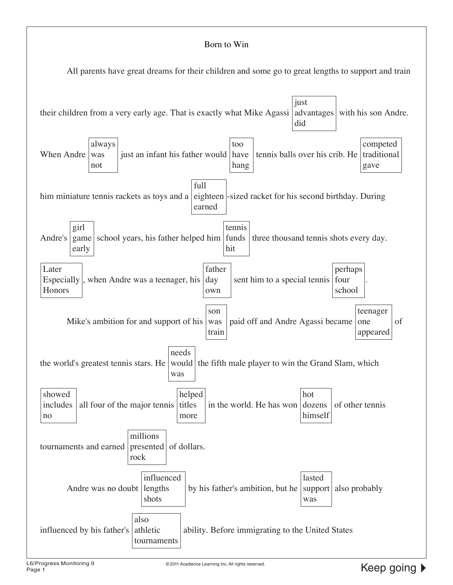#### Born to Win

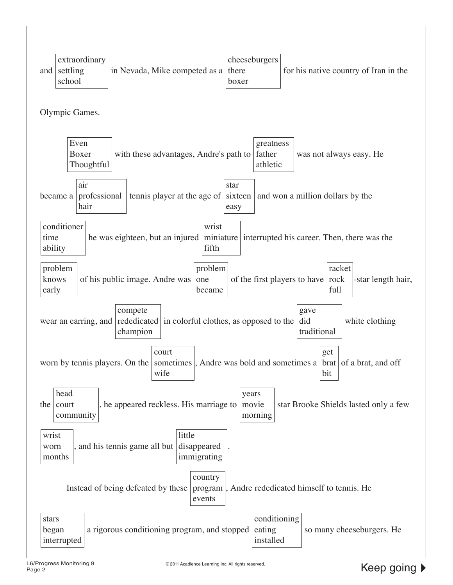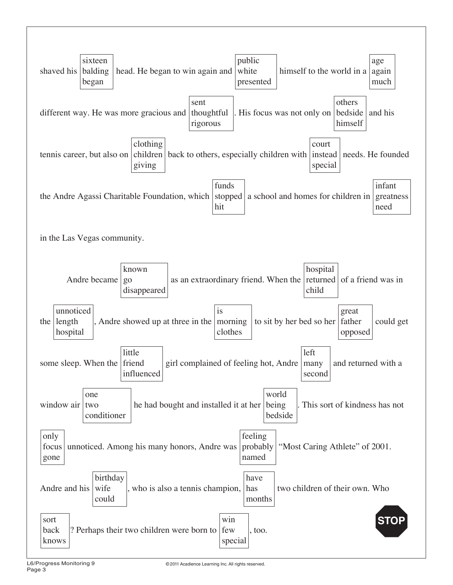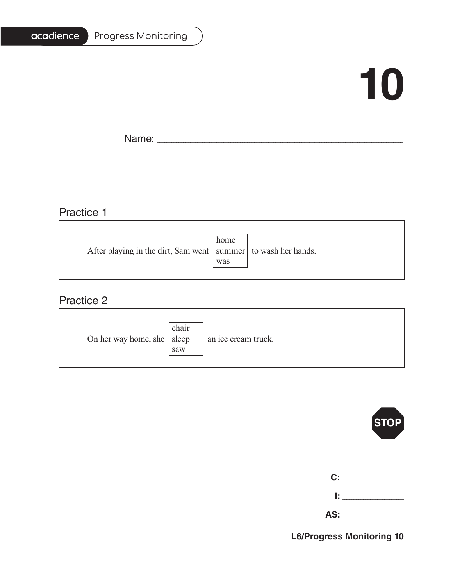#### Progress Monitoring

# **10**

T.

Name: \_\_\_\_\_\_\_\_\_\_\_\_\_\_\_\_\_\_\_\_\_\_\_\_\_\_\_\_\_\_\_\_\_\_\_\_\_\_\_\_\_\_\_\_\_\_\_\_\_\_\_\_\_\_\_\_\_\_\_\_\_\_\_\_\_\_\_\_\_\_\_\_\_\_\_\_\_\_\_\_\_\_\_\_\_\_\_\_\_\_\_\_\_\_\_\_\_\_\_\_\_\_\_

## Practice 1

|                                                                   | home |  |
|-------------------------------------------------------------------|------|--|
| After playing in the dirt, Sam went   summer   to wash her hands. |      |  |
|                                                                   | was  |  |
|                                                                   |      |  |

<u> 1989 - Johann Stoff, deutscher Stoffen und der Stoffen und der Stoffen und der Stoffen und der Stoffen und der</u>

### Practice 2

| On her way home, she $ $ sleep | chair<br>saw | an ice cream truck. |
|--------------------------------|--------------|---------------------|
|--------------------------------|--------------|---------------------|



| C: C |  |
|------|--|
| Ŀ    |  |

| z.<br><i>.</i> |  |
|----------------|--|
|                |  |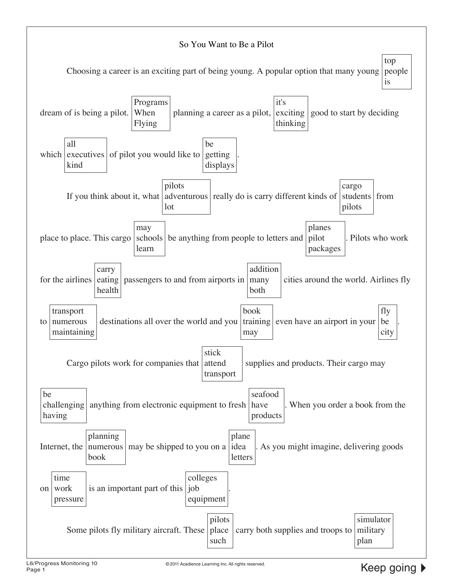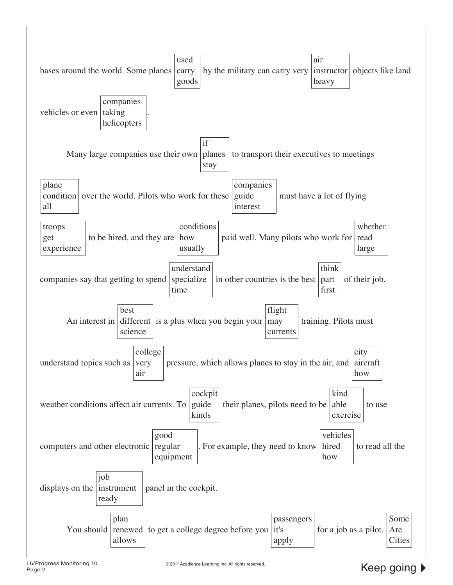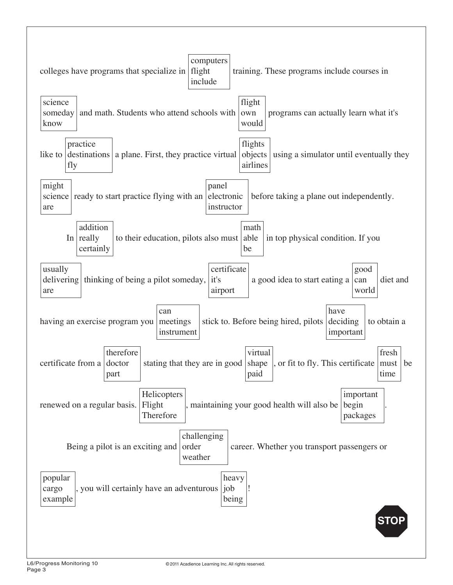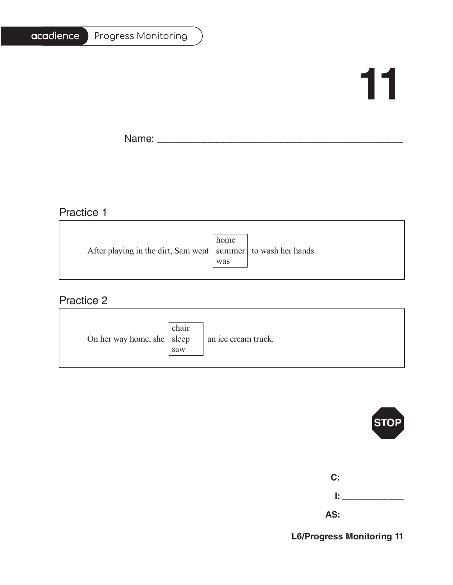#### Progress Monitoring

# **11**

Ē.

Name: \_\_\_\_\_\_\_\_\_\_\_\_\_\_\_\_\_\_\_\_\_\_\_\_\_\_\_\_\_\_\_\_\_\_\_\_\_\_\_\_\_\_\_\_\_\_\_\_\_\_\_\_\_\_\_\_\_\_\_\_\_\_\_\_\_\_\_\_\_\_\_\_\_\_\_\_\_\_\_\_\_\_\_\_\_\_\_\_\_\_\_\_\_\_\_\_\_\_\_\_\_\_\_

# Practice 1

|                                                                   | home |  |
|-------------------------------------------------------------------|------|--|
| After playing in the dirt, Sam went   summer   to wash her hands. |      |  |
|                                                                   | was  |  |
|                                                                   |      |  |

<u> 1989 - Johann Barbara, martxa alemaniar amerikan basar da a</u>

### Practice 2

| On her way home, she $ $ sleep | chair<br>saw | an ice cream truck. |
|--------------------------------|--------------|---------------------|
|--------------------------------|--------------|---------------------|



| C:  |  |
|-----|--|
| Ŀ.  |  |
| AS: |  |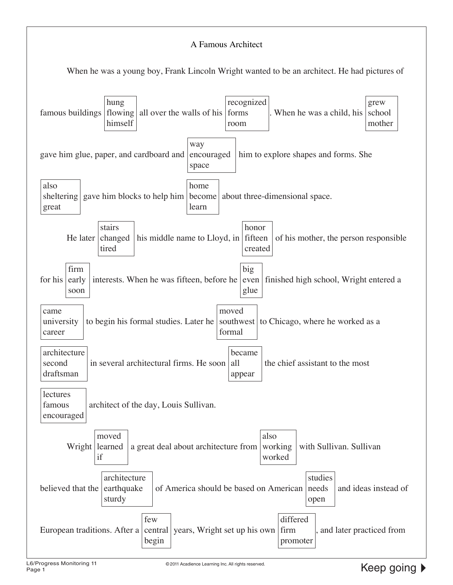#### A Famous Architect When he was a young boy, Frank Lincoln Wright wanted to be an architect. He had pictures of famous buildings hung flowing himself all over the walls of his recognized forms room When he was a child, his grew school mother gave him glue, paper, and cardboard and encouraged way space him to explore shapes and forms. She also sheltering great gave him blocks to help him become home learn about three-dimensional space. He later stairs changed tired his middle name to Lloyd, in fifteen honor created of his mother, the person responsible for his early firm soon interests. When he was fifteen, before he big even finished high school, Wright entered a glue came university career to begin his formal studies. Later he southwest moved formal to Chicago, where he worked as a architecture second draftsman in several architectural firms. He soon all became appear the chief assistant to the most lectures famous encouraged architect of the day, Louis Sullivan. Wright learned moved if a great deal about architecture from also working worked with Sullivan. Sullivan believed that the architecture earthquake sturdy of America should be based on American studies needs open and ideas instead of European traditions. After a | central | years, Wright set up his own | firm few begin differed promoter , and later practiced from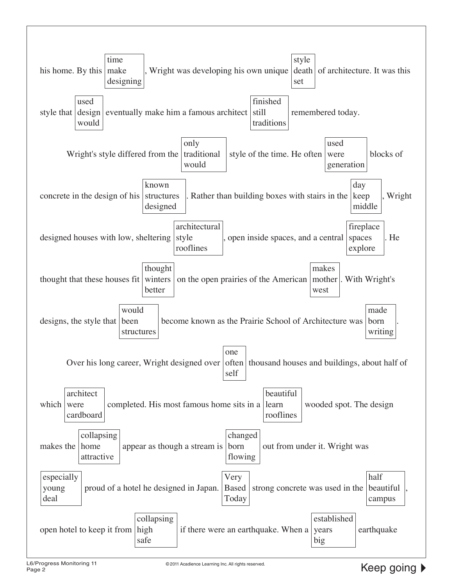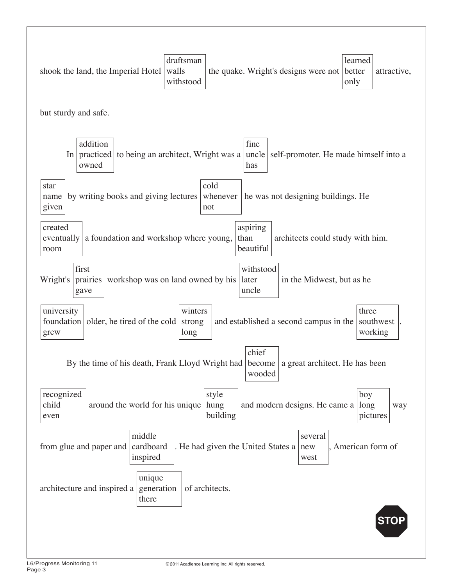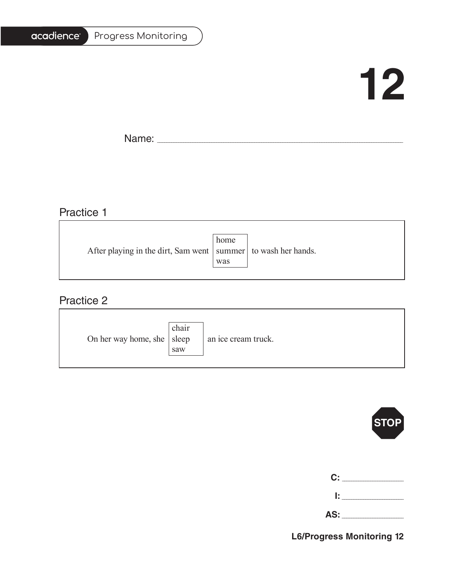#### Progress Monitoring

# **12**

T.

Name: \_\_\_\_\_\_\_\_\_\_\_\_\_\_\_\_\_\_\_\_\_\_\_\_\_\_\_\_\_\_\_\_\_\_\_\_\_\_\_\_\_\_\_\_\_\_\_\_\_\_\_\_\_\_\_\_\_\_\_\_\_\_\_\_\_\_\_\_\_\_\_\_\_\_\_\_\_\_\_\_\_\_\_\_\_\_\_\_\_\_\_\_\_\_\_\_\_\_\_\_\_\_\_

## Practice 1

|                                                                   | home |  |
|-------------------------------------------------------------------|------|--|
| After playing in the dirt, Sam went   summer   to wash her hands. |      |  |
|                                                                   | was  |  |
|                                                                   |      |  |

<u> 1989 - Johann Barbara, martxa alemaniar amerikan basar da a</u>

### Practice 2

| On her way home, she $ $ sleep | chair<br>saw | an ice cream truck. |
|--------------------------------|--------------|---------------------|
|--------------------------------|--------------|---------------------|



| C:  |  |
|-----|--|
| Ŀ   |  |
| AS: |  |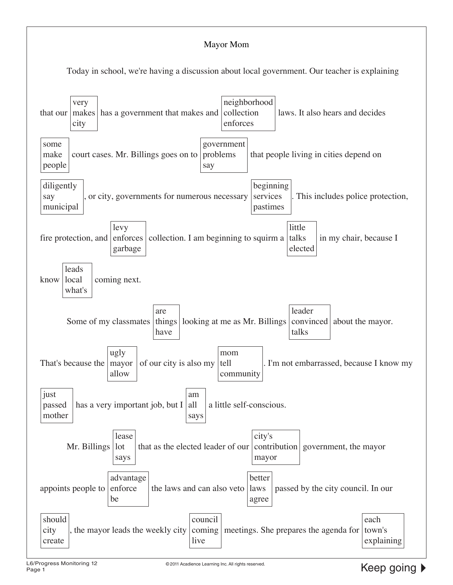#### Mayor Mom

Today in school, we're having a discussion about local government. Our teacher is explaining

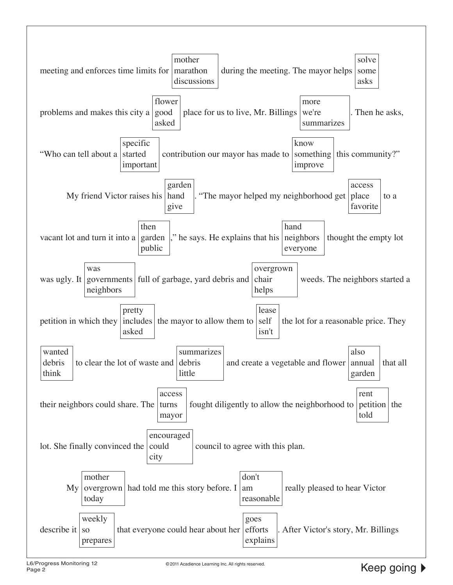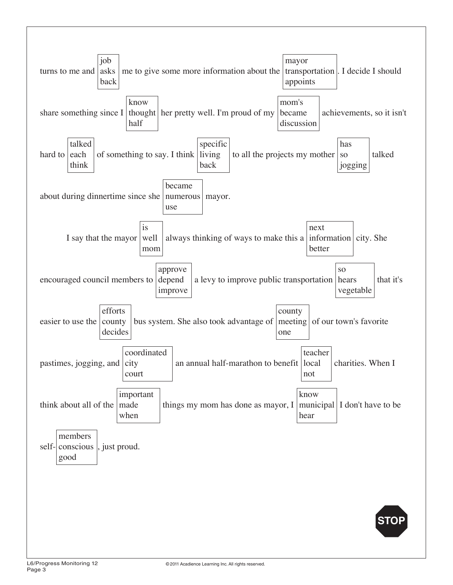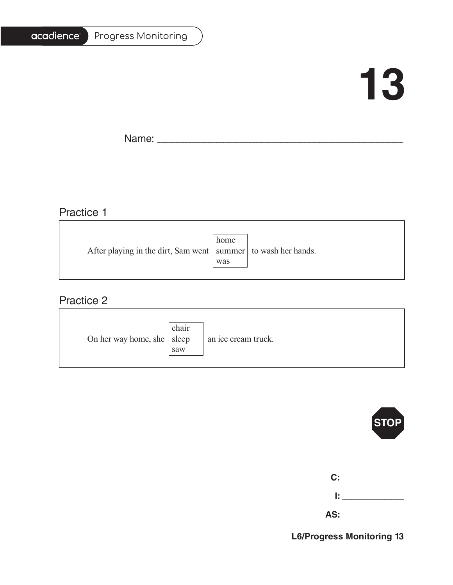#### Progress Monitoring

# **13**

T.

Name: \_\_\_\_\_\_\_\_\_\_\_\_\_\_\_\_\_\_\_\_\_\_\_\_\_\_\_\_\_\_\_\_\_\_\_\_\_\_\_\_\_\_\_\_\_\_\_\_\_\_\_\_\_\_\_\_\_\_\_\_\_\_\_\_\_\_\_\_\_\_\_\_\_\_\_\_\_\_\_\_\_\_\_\_\_\_\_\_\_\_\_\_\_\_\_\_\_\_\_\_\_\_\_

## Practice 1

|                                                                   | home |  |
|-------------------------------------------------------------------|------|--|
| After playing in the dirt, Sam went   summer   to wash her hands. |      |  |
|                                                                   | was  |  |
|                                                                   |      |  |

<u> 1989 - Johann Stoff, deutscher Stoffen und der Stoffen und der Stoffen und der Stoffen und der Stoffen und der</u>

### Practice 2

| On her way home, she $ $ sleep | chair<br>saw | an ice cream truck. |
|--------------------------------|--------------|---------------------|
|--------------------------------|--------------|---------------------|



| C:  |  |
|-----|--|
| Ŀ   |  |
| AS: |  |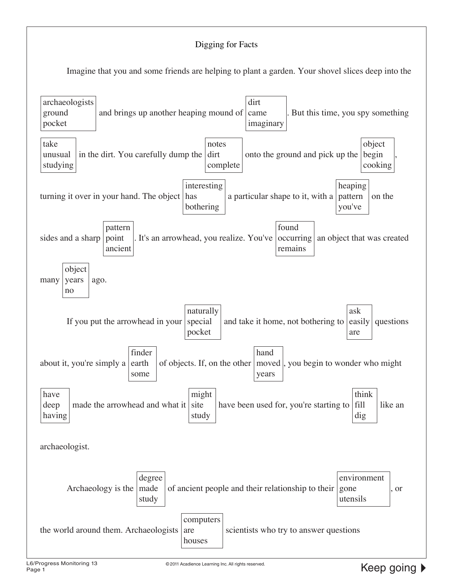#### Digging for Facts

Imagine that you and some friends are helping to plant a garden. Your shovel slices deep into the

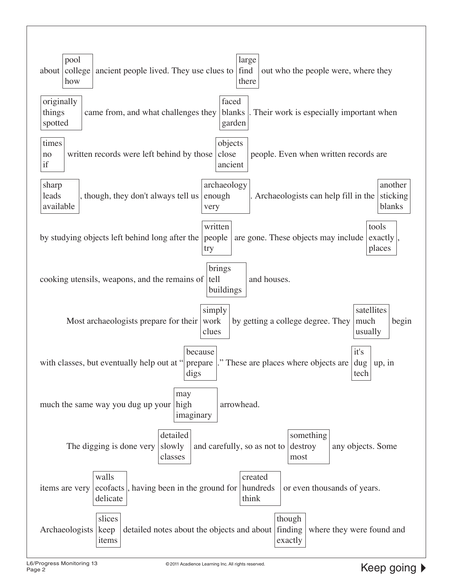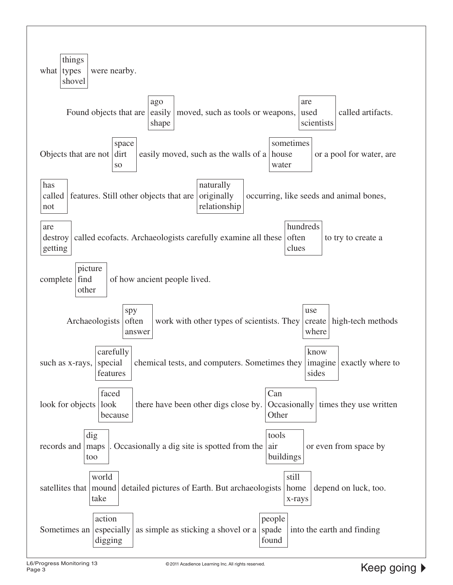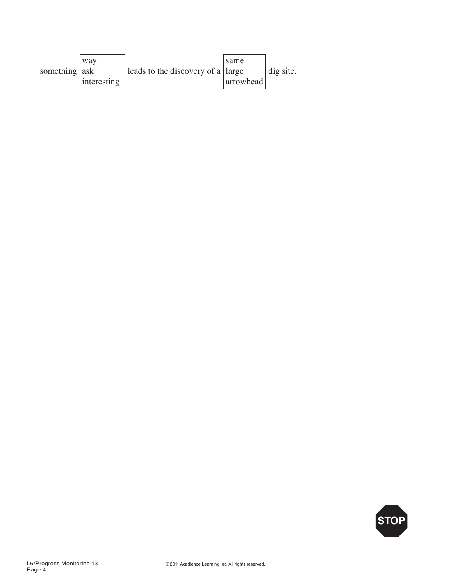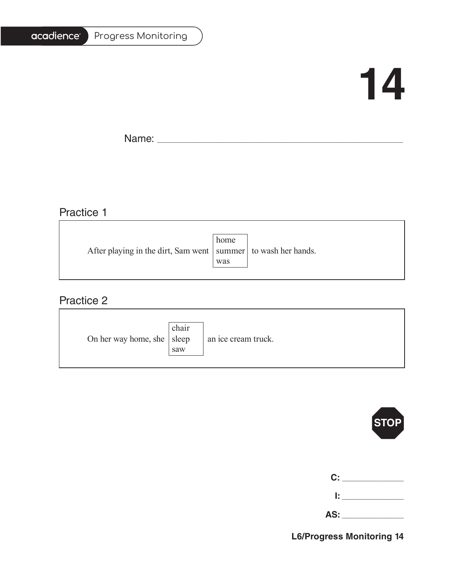#### Progress Monitoring

# **14**

T.

Name: \_\_\_\_\_\_\_\_\_\_\_\_\_\_\_\_\_\_\_\_\_\_\_\_\_\_\_\_\_\_\_\_\_\_\_\_\_\_\_\_\_\_\_\_\_\_\_\_\_\_\_\_\_\_\_\_\_\_\_\_\_\_\_\_\_\_\_\_\_\_\_\_\_\_\_\_\_\_\_\_\_\_\_\_\_\_\_\_\_\_\_\_\_\_\_\_\_\_\_\_\_\_\_

### Practice 1

|     | After playing in the dirt, Sam went   summer   to wash her hands. |
|-----|-------------------------------------------------------------------|
| was |                                                                   |
|     | home                                                              |

<u> 1989 - Johann Stoff, deutscher Stoffen und der Stoffen und der Stoffen und der Stoffen und der Stoffen und der</u>

### Practice 2

| On her way home, she $ $ sleep | chair<br>saw | an ice cream truck. |
|--------------------------------|--------------|---------------------|
|--------------------------------|--------------|---------------------|



| C:  |  |
|-----|--|
| Ŀ   |  |
| AS: |  |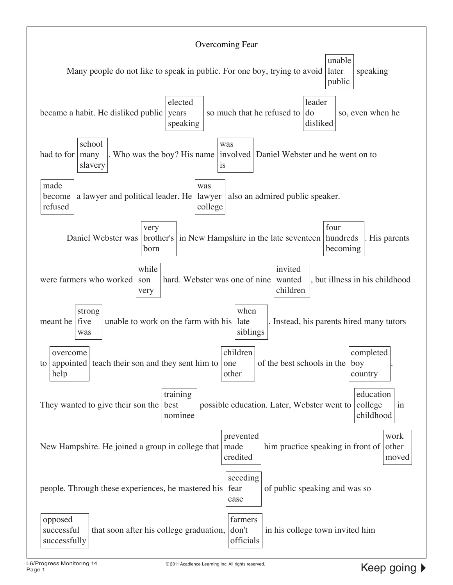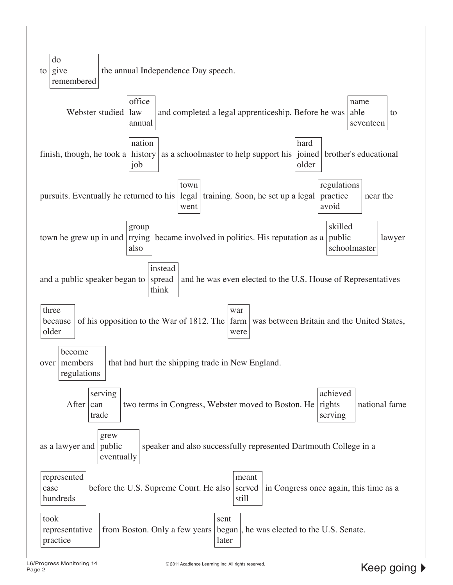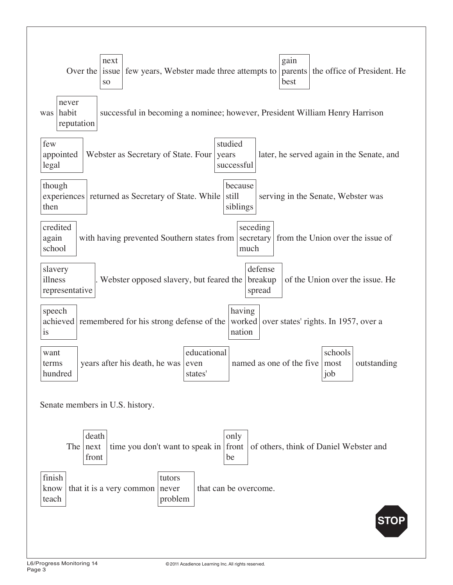| gain<br>next<br>Over the $ $<br>the office of President. He<br>issue<br>few years, Webster made three attempts to<br>parents<br>best<br><b>SO</b>                            |
|------------------------------------------------------------------------------------------------------------------------------------------------------------------------------|
| never<br>habit<br>successful in becoming a nominee; however, President William Henry Harrison<br>was<br>reputation                                                           |
| few<br>studied<br>appointed<br>Webster as Secretary of State. Four<br>later, he served again in the Senate, and<br>years<br>legal<br>successful                              |
| though<br>because<br>still<br>experiences<br>returned as Secretary of State. While<br>serving in the Senate, Webster was<br>siblings<br>then                                 |
| credited<br>seceding<br>from the Union over the issue of<br>again<br>with having prevented Southern states from   secretary  <br>school<br>much                              |
| defense<br>slavery<br>. Webster opposed slavery, but feared the<br>illness<br>breakup<br>of the Union over the issue. He<br>representative<br>spread                         |
| speech<br>having<br>worked<br>achieved<br>remembered for his strong defense of the<br>over states' rights. In 1957, over a<br>nation<br>is                                   |
| educational<br>schools<br>want<br>years after his death, he was<br>named as one of the five<br>outstanding<br>most<br>even<br>terms<br>hundred<br>states <sup>'</sup><br>job |
| Senate members in U.S. history.                                                                                                                                              |
| death<br>only<br>The $ next$<br>time you don't want to speak in front<br>of others, think of Daniel Webster and<br>front<br>be                                               |
| finish<br>tutors<br>that can be overcome.<br>that it is a very common<br>know<br>never<br>problem<br>teach                                                                   |
| STC                                                                                                                                                                          |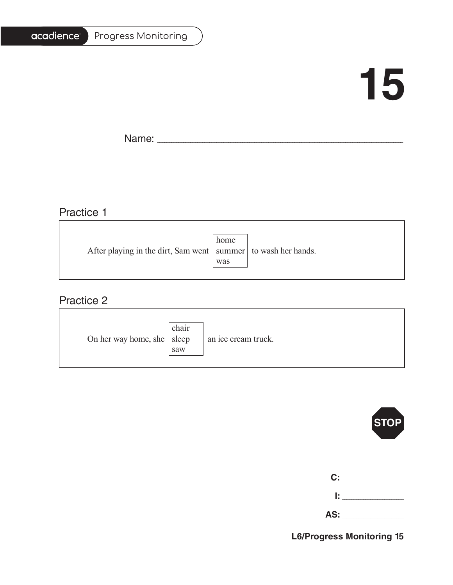#### Progress Monitoring

# **15**

T.

Name: \_\_\_\_\_\_\_\_\_\_\_\_\_\_\_\_\_\_\_\_\_\_\_\_\_\_\_\_\_\_\_\_\_\_\_\_\_\_\_\_\_\_\_\_\_\_\_\_\_\_\_\_\_\_\_\_\_\_\_\_\_\_\_\_\_\_\_\_\_\_\_\_\_\_\_\_\_\_\_\_\_\_\_\_\_\_\_\_\_\_\_\_\_\_\_\_\_\_\_\_\_\_\_

### Practice 1

|                                                                   | home |  |
|-------------------------------------------------------------------|------|--|
| After playing in the dirt, Sam went   summer   to wash her hands. |      |  |
|                                                                   | was  |  |
|                                                                   |      |  |

<u> 1989 - Johann Barbara, martxa alemaniar amerikan basar da a</u>

### Practice 2

| On her way home, she $ $ sleep | chair<br>saw | an ice cream truck. |
|--------------------------------|--------------|---------------------|
|--------------------------------|--------------|---------------------|



| C: C |        |
|------|--------|
|      | lt i v |

**AS:** \_\_\_\_\_\_\_\_\_\_\_\_\_\_\_\_\_\_\_\_\_\_\_\_\_\_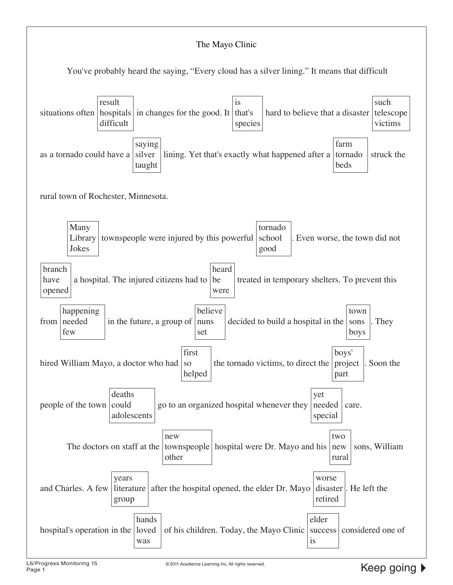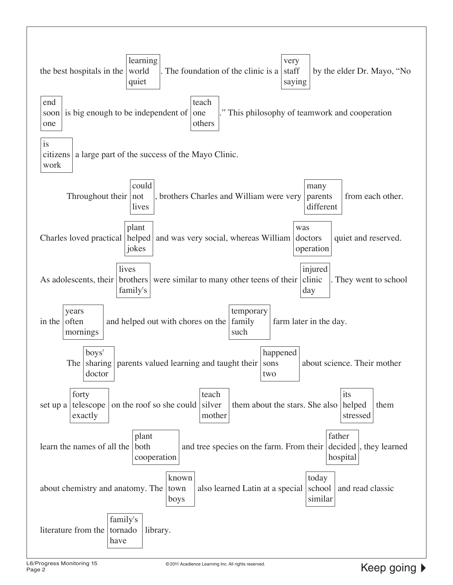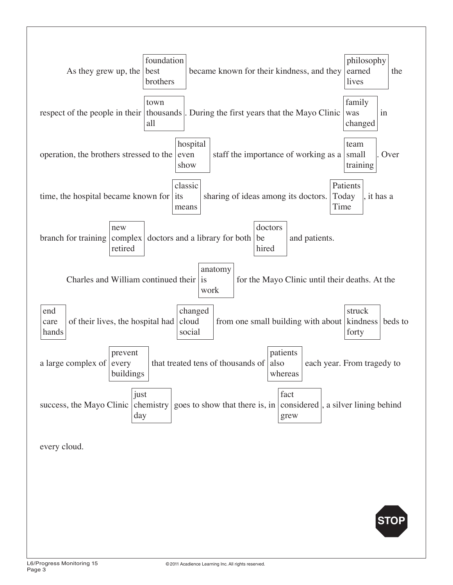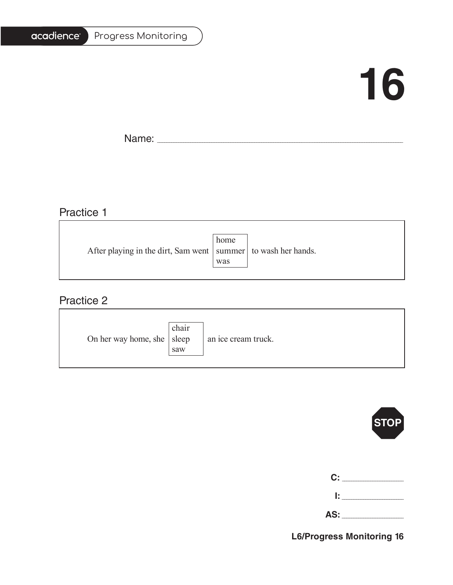#### Progress Monitoring

# **16**

Ē.

Name: \_\_\_\_\_\_\_\_\_\_\_\_\_\_\_\_\_\_\_\_\_\_\_\_\_\_\_\_\_\_\_\_\_\_\_\_\_\_\_\_\_\_\_\_\_\_\_\_\_\_\_\_\_\_\_\_\_\_\_\_\_\_\_\_\_\_\_\_\_\_\_\_\_\_\_\_\_\_\_\_\_\_\_\_\_\_\_\_\_\_\_\_\_\_\_\_\_\_\_\_\_\_\_

## Practice 1

|                                                                   | home |  |
|-------------------------------------------------------------------|------|--|
| After playing in the dirt, Sam went   summer   to wash her hands. |      |  |
|                                                                   | was  |  |
|                                                                   |      |  |

<u> 1989 - Johann Barbara, martxa alemaniar amerikan basar da a</u>

### Practice 2

| On her way home, she $ $ sleep | chair<br>saw | an ice cream truck. |
|--------------------------------|--------------|---------------------|
|--------------------------------|--------------|---------------------|



| $\mathbf{C}$ : |  |
|----------------|--|
| Ŀ.             |  |

**AS:** \_\_\_\_\_\_\_\_\_\_\_\_\_\_\_\_\_\_\_\_\_\_\_\_\_\_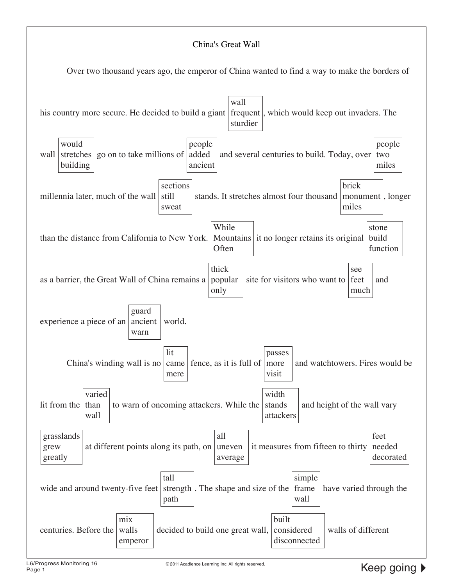#### China's Great Wall

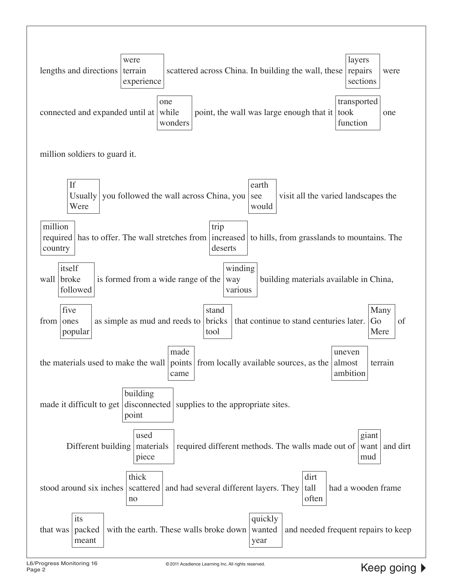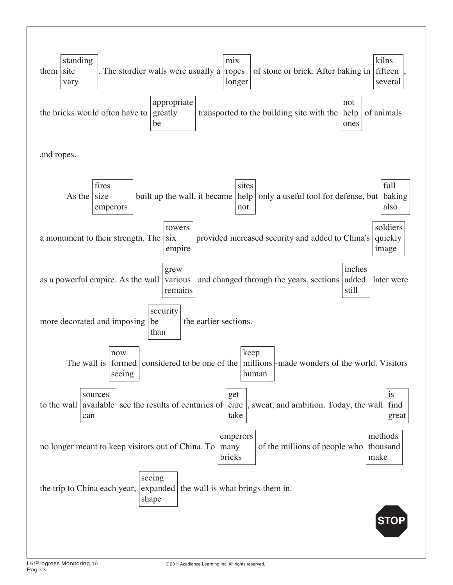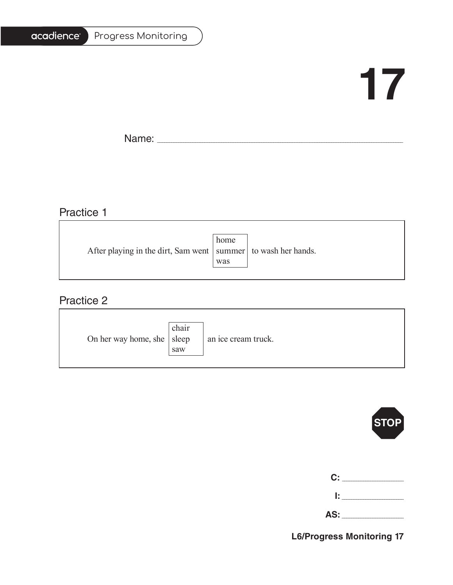#### Progress Monitoring

# **17**

T.

Name: \_\_\_\_\_\_\_\_\_\_\_\_\_\_\_\_\_\_\_\_\_\_\_\_\_\_\_\_\_\_\_\_\_\_\_\_\_\_\_\_\_\_\_\_\_\_\_\_\_\_\_\_\_\_\_\_\_\_\_\_\_\_\_\_\_\_\_\_\_\_\_\_\_\_\_\_\_\_\_\_\_\_\_\_\_\_\_\_\_\_\_\_\_\_\_\_\_\_\_\_\_\_\_

### Practice 1

|                                                                   | home |  |
|-------------------------------------------------------------------|------|--|
| After playing in the dirt, Sam went   summer   to wash her hands. |      |  |
|                                                                   | was  |  |
|                                                                   |      |  |

<u> 1989 - Johann Barbara, martxa alemaniar amerikan basar da a</u>

### Practice 2

| On her way home, she $ $ sleep | chair<br>saw | an ice cream truck. |
|--------------------------------|--------------|---------------------|
|--------------------------------|--------------|---------------------|



| $\mathbf{C}$ : |  |
|----------------|--|
| Ŀ.             |  |

**AS:** \_\_\_\_\_\_\_\_\_\_\_\_\_\_\_\_\_\_\_\_\_\_\_\_\_\_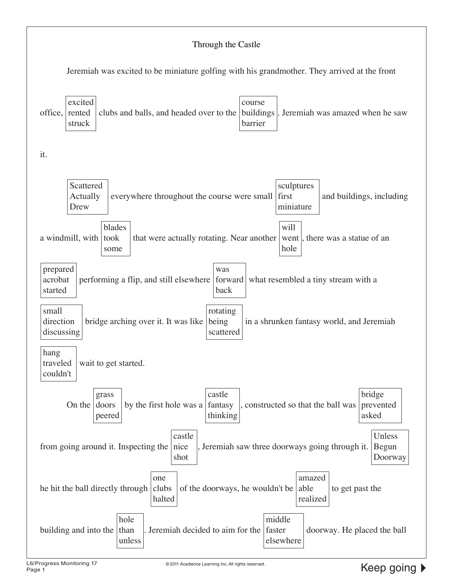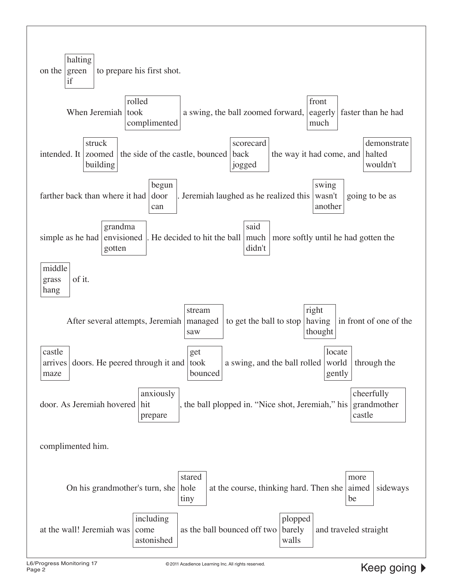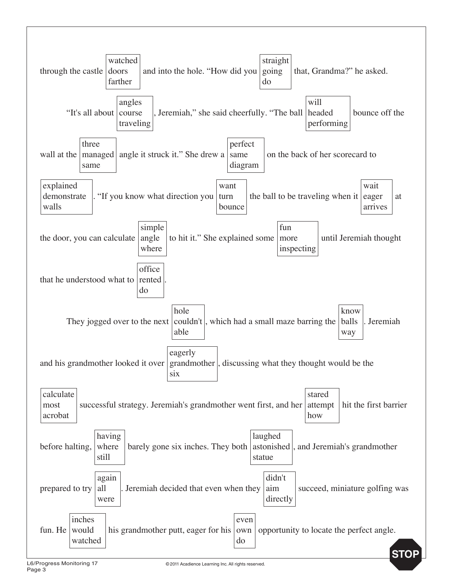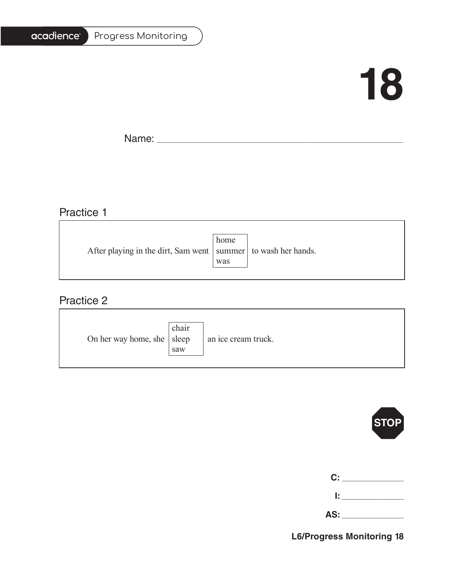# acadience®

Progress Monitoring

# **18**

T.

Name: \_\_\_\_\_\_\_\_\_\_\_\_\_\_\_\_\_\_\_\_\_\_\_\_\_\_\_\_\_\_\_\_\_\_\_\_\_\_\_\_\_\_\_\_\_\_\_\_\_\_\_\_\_\_\_\_\_\_\_\_\_\_\_\_\_\_\_\_\_\_\_\_\_\_\_\_\_\_\_\_\_\_\_\_\_\_\_\_\_\_\_\_\_\_\_\_\_\_\_\_\_\_\_

<u> 1989 - Johann Barbara, marka a shekara tsa 1989 - An tsa 1989 - An tsa 1989 - An tsa 1989 - An tsa 1989 - An</u>

## Practice 1

| After playing in the dirt, Sam went   summer   to wash her hands. | home |  |
|-------------------------------------------------------------------|------|--|
|                                                                   | was  |  |

<u> 1989 - Johann Barbara, martxa alemaniar amerikan basar da a</u>

### Practice 2

| On her way home, she   sleep | chair<br>saw | an ice cream truck. |
|------------------------------|--------------|---------------------|
|------------------------------|--------------|---------------------|



| C:  |  |
|-----|--|
| Ŀ   |  |
| AS: |  |

**L6/Progress Monitoring 18**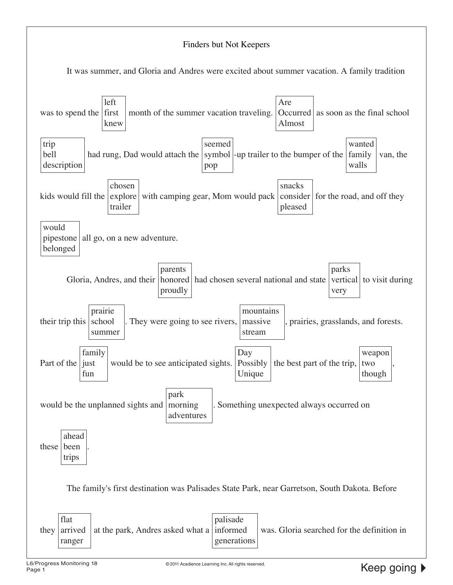

It was summer, and Gloria and Andres were excited about summer vacation. A family tradition

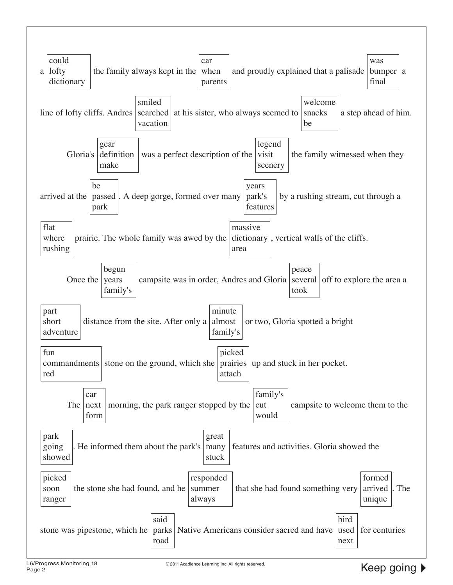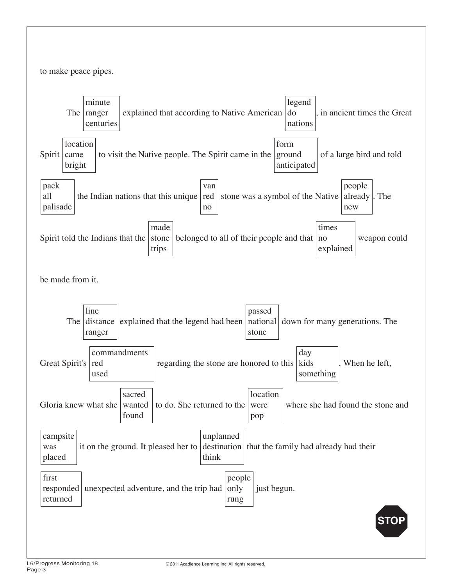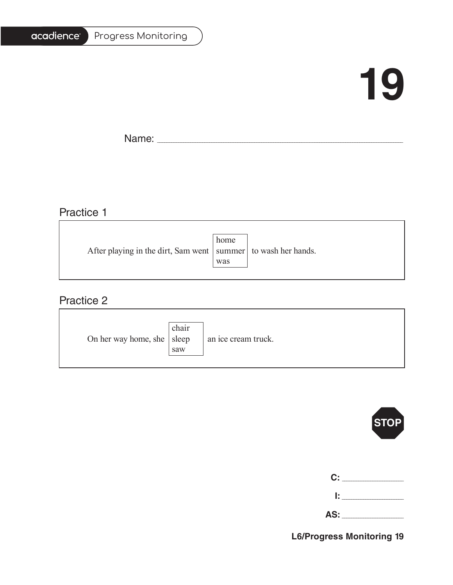# acadience®

### Progress Monitoring

# **19**

T.

Name: \_\_\_\_\_\_\_\_\_\_\_\_\_\_\_\_\_\_\_\_\_\_\_\_\_\_\_\_\_\_\_\_\_\_\_\_\_\_\_\_\_\_\_\_\_\_\_\_\_\_\_\_\_\_\_\_\_\_\_\_\_\_\_\_\_\_\_\_\_\_\_\_\_\_\_\_\_\_\_\_\_\_\_\_\_\_\_\_\_\_\_\_\_\_\_\_\_\_\_\_\_\_\_

# Practice 1

|                                                                   | home |  |
|-------------------------------------------------------------------|------|--|
| After playing in the dirt, Sam went   summer   to wash her hands. |      |  |
|                                                                   | was  |  |
|                                                                   |      |  |

<u> 1989 - Johann Barbara, martxa alemaniar amerikan basar da a</u>

## Practice 2

| On her way home, she $ $ sleep | chair<br>saw | an ice cream truck. |
|--------------------------------|--------------|---------------------|
|--------------------------------|--------------|---------------------|



| C:  |  |
|-----|--|
| Ŀ   |  |
| AS: |  |

**L6/Progress Monitoring 19**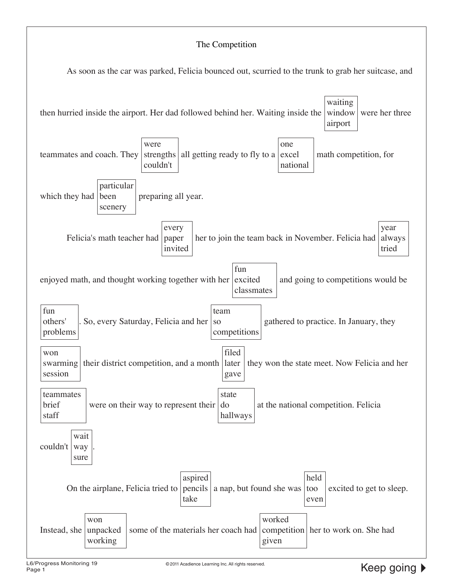#### The Competition

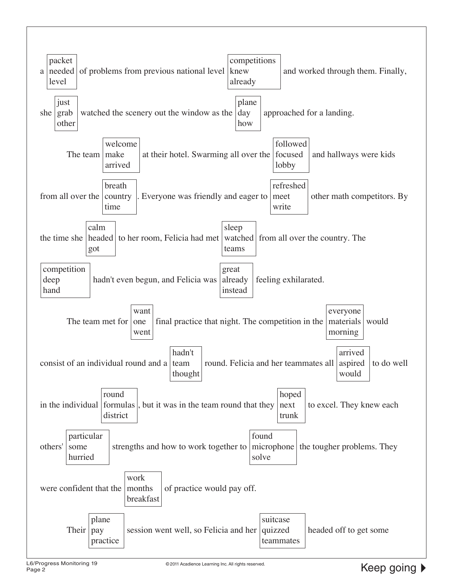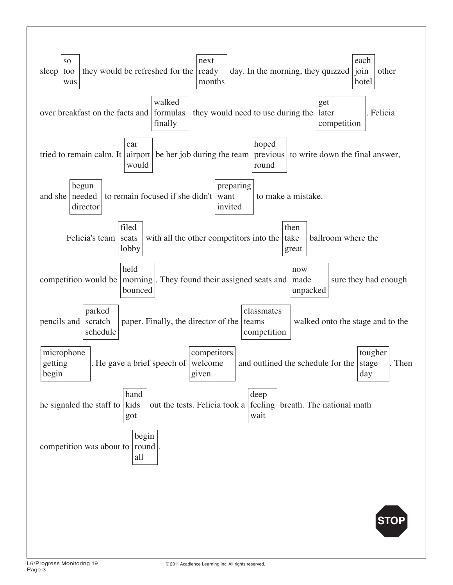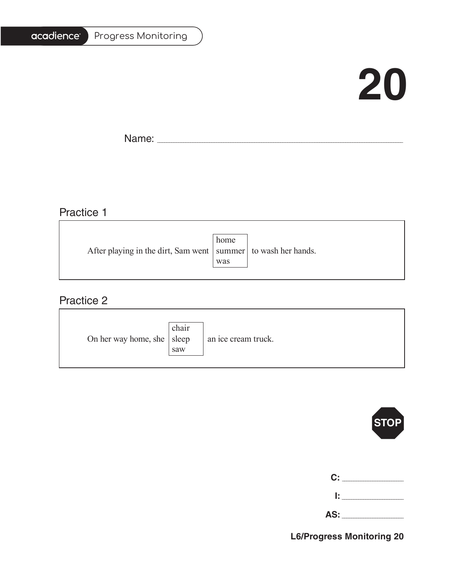# acadience®

### Progress Monitoring

# **20**

Ē.

Name: \_\_\_\_\_\_\_\_\_\_\_\_\_\_\_\_\_\_\_\_\_\_\_\_\_\_\_\_\_\_\_\_\_\_\_\_\_\_\_\_\_\_\_\_\_\_\_\_\_\_\_\_\_\_\_\_\_\_\_\_\_\_\_\_\_\_\_\_\_\_\_\_\_\_\_\_\_\_\_\_\_\_\_\_\_\_\_\_\_\_\_\_\_\_\_\_\_\_\_\_\_\_\_

## Practice 1

|                                                                   | home |  |
|-------------------------------------------------------------------|------|--|
| After playing in the dirt, Sam went   summer   to wash her hands. |      |  |
|                                                                   | was  |  |
|                                                                   |      |  |

<u> 1989 - Johann Barbara, martxa alemaniar amerikan basar da a</u>

## Practice 2

| On her way home, she $ $ sleep | chair<br>saw | an ice cream truck. |
|--------------------------------|--------------|---------------------|
|--------------------------------|--------------|---------------------|



| C:  |  |
|-----|--|
| Ŀ.  |  |
| AS: |  |

**L6/Progress Monitoring 20**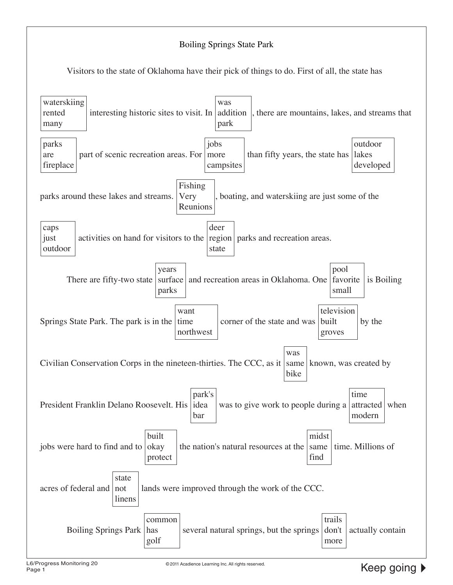### Boiling Springs State Park

Visitors to the state of Oklahoma have their pick of things to do. First of all, the state has

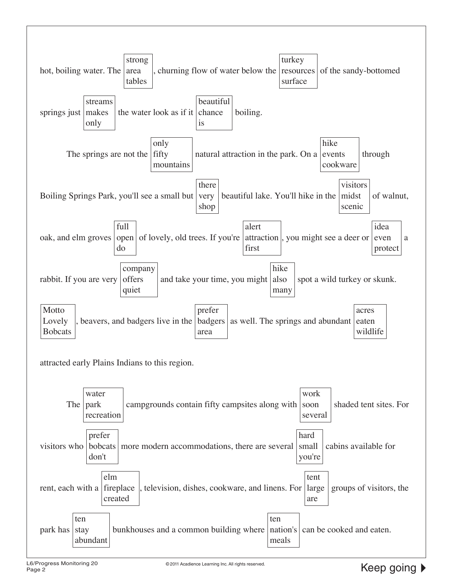